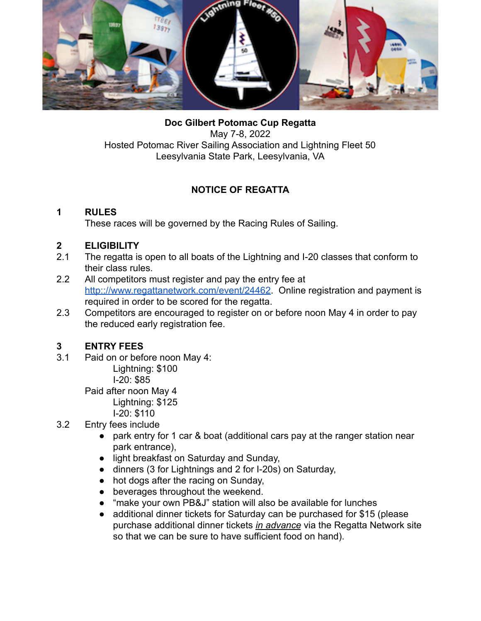

**Doc Gilbert Potomac Cup Regatta** May 7-8, 2022 Hosted Potomac River Sailing Association and Lightning Fleet 50 Leesylvania State Park, Leesylvania, VA

# **NOTICE OF REGATTA**

### **1 RULES**

These races will be governed by the Racing Rules of Sailing.

# **2 ELIGIBILITY**

- 2.1 The regatta is open to all boats of the Lightning and I-20 classes that conform to their class rules.
- 2.2 All competitors must register and pay the entry fee at [http:://www.regattanetwork.com/event/24462.](http://www.regattanetwork.com/event/24462) Online registration and payment is required in order to be scored for the regatta.
- 2.3 Competitors are encouraged to register on or before noon May 4 in order to pay the reduced early registration fee.

# **3 ENTRY FEES**

3.1 Paid on or before noon May 4: Lightning: \$100

I-20: \$85

Paid after noon May 4 Lightning: \$125

- I-20: \$110
- 3.2 Entry fees include
	- park entry for 1 car & boat (additional cars pay at the ranger station near park entrance),
	- light breakfast on Saturday and Sunday,
	- dinners (3 for Lightnings and 2 for I-20s) on Saturday,
	- hot dogs after the racing on Sunday,
	- beverages throughout the weekend.
	- "make your own PB&J" station will also be available for lunches
	- additional dinner tickets for Saturday can be purchased for \$15 (please purchase additional dinner tickets *in advance* via the Regatta Network site so that we can be sure to have sufficient food on hand).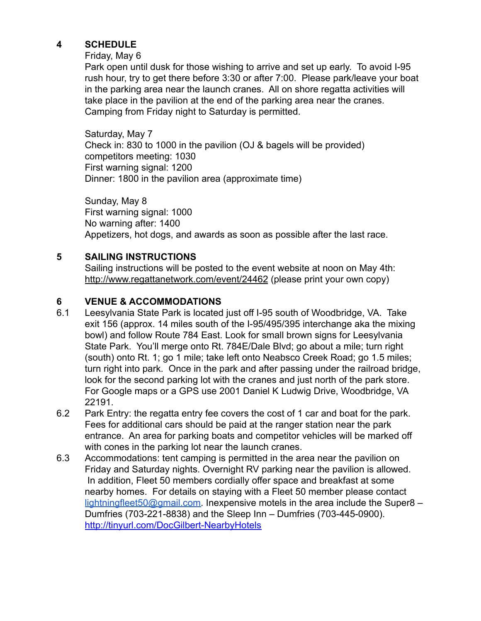### **4 SCHEDULE**

#### Friday, May 6

Park open until dusk for those wishing to arrive and set up early. To avoid I-95 rush hour, try to get there before 3:30 or after 7:00. Please park/leave your boat in the parking area near the launch cranes. All on shore regatta activities will take place in the pavilion at the end of the parking area near the cranes. Camping from Friday night to Saturday is permitted.

Saturday, May 7 Check in: 830 to 1000 in the pavilion (OJ & bagels will be provided) competitors meeting: 1030 First warning signal: 1200 Dinner: 1800 in the pavilion area (approximate time)

Sunday, May 8 First warning signal: 1000 No warning after: 1400 Appetizers, hot dogs, and awards as soon as possible after the last race.

### **5 SAILING INSTRUCTIONS**

Sailing instructions will be posted to the event website at noon on May 4th: [http://www.regattanetwork.com/event/24462](http://www.regattanetwork.com/event/18807#_docs) (please print your own copy)

#### **6 VENUE & ACCOMMODATIONS**

- 6.1 Leesylvania State Park is located just off I-95 south of Woodbridge, VA. Take exit 156 (approx. 14 miles south of the I-95/495/395 interchange aka the mixing bowl) and follow Route 784 East. Look for small brown signs for Leesylvania State Park. You'll merge onto Rt. 784E/Dale Blvd; go about a mile; turn right (south) onto Rt. 1; go 1 mile; take left onto Neabsco Creek Road; go 1.5 miles; turn right into park. Once in the park and after passing under the railroad bridge, look for the second parking lot with the cranes and just north of the park store. For Google maps or a GPS use 2001 Daniel K Ludwig [Drive, Woodbridge, VA](https://goo.gl/maps/Mg3AtL6V1vS2) [22191](https://goo.gl/maps/Mg3AtL6V1vS2).
- 6.2 Park Entry: the regatta entry fee covers the cost of 1 car and boat for the park. Fees for additional cars should be paid at the ranger station near the park entrance. An area for parking boats and competitor vehicles will be marked off with cones in the parking lot near the launch cranes.
- 6.3 Accommodations: tent camping is permitted in the area near the pavilion on Friday and Saturday nights. Overnight RV parking near the pavilion is allowed. In addition, Fleet 50 members cordially offer space and breakfast at some nearby homes. For details on staying with a Fleet 50 member please contact [lightningfleet50@gmail.com.](mailto:lightningfleet50@gmail.com) Inexpensive motels in the area include the Super8  $-$ Dumfries (703-221-8838) and the Sleep Inn – Dumfries (703-445-0900). <http://tinyurl.com/DocGilbert-NearbyHotels>